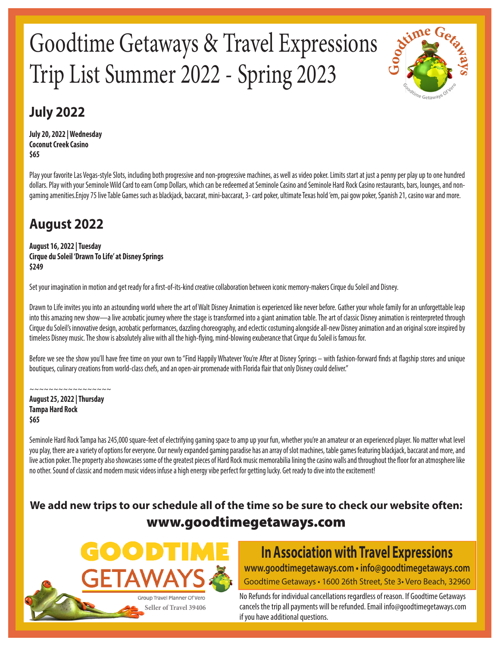# Goodtime Getaways & Travel Expressions Trip List Summer 2022 - Spring 2023



### **July 2022**

**July 20, 2022 | Wednesday Coconut Creek Casino \$65**

Play your favorite Las Vegas-style Slots, including both progressive and non-progressive machines, as well as video poker. Limits start at just a penny per play up to one hundred dollars. Play with your Seminole Wild Card to earn Comp Dollars, which can be redeemed at Seminole Casino and Seminole Hard Rock Casino restaurants, bars, lounges, and nongaming amenities.Enjoy 75 live Table Games such as blackjack, baccarat, mini-baccarat, 3- card poker, ultimate Texas hold 'em, pai gow poker, Spanish 21, casino war and more.

# **August 2022**

**August 16, 2022 | Tuesday Cirque du Soleil 'Drawn To Life' at Disney Springs \$249**

Set your imagination in motion and get ready for a first-of-its-kind creative collaboration between iconic memory-makers Cirque du Soleil and Disney.

Drawn to Life invites you into an astounding world where the art of Walt Disney Animation is experienced like never before. Gather your whole family for an unforgettable leap into this amazing new show—a live acrobatic journey where the stage is transformed into a giant animation table. The art of classic Disney animation is reinterpreted through Cirque du Soleil's innovative design, acrobatic performances, dazzling choreography, and eclectic costuming alongside all-new Disney animation and an original score inspired by timeless Disney music. The show is absolutely alive with all the high-flying, mind-blowing exuberance that Cirque du Soleil is famous for.

Before we see the show you'll have free time on your own to "Find Happily Whatever You're After at Disney Springs – with fashion-forward finds at flagship stores and unique boutiques, culinary creations from world-class chefs, and an open-air promenade with Florida flair that only Disney could deliver."

~~~~~~~~~~~~~~~ **August 25, 2022 | Thursday Tampa Hard Rock \$65**

Seminole Hard Rock Tampa has 245,000 square-feet of electrifying gaming space to amp up your fun, whether you're an amateur or an experienced player. No matter what level you play, there are a variety of options for everyone. Our newly expanded gaming paradise has an array of slot machines, table games featuring blackjack, baccarat and more, and live action poker. The property also showcases some of the greatest pieces of Hard Rock music memorabilia lining the casino walls and throughout the floor for an atmosphere like no other. Sound of classic and modern music videos infuse a high energy vibe perfect for getting lucky. Get ready to dive into the excitement!

#### **We add new trips to our schedule all of the time so be sure to check our website often:** www.goodtimegetaways.com



#### **In Association with Travel Expressions www.goodtimegetaways.com • info@goodtimegetaways.com** Goodtime Getaways • 1600 26th Street, Ste 3• Vero Beach, 32960

No Refunds for individual cancellations regardless of reason. If Goodtime Getaways cancels the trip all payments will be refunded. Email info@goodtimegetaways.com if you have additional questions.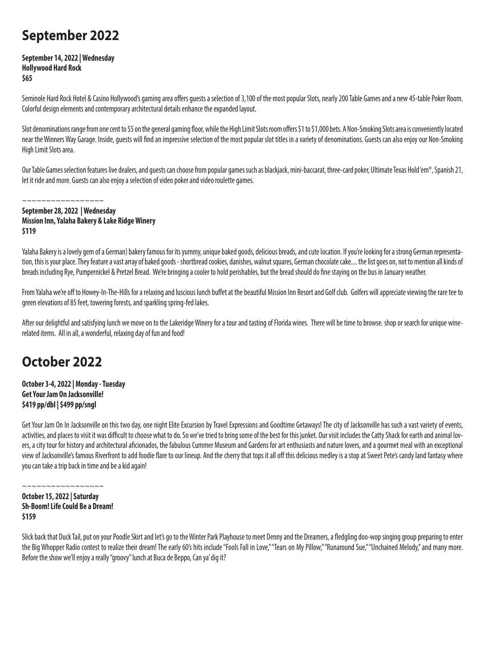### **September 2022**

**September 14, 2022 | Wednesday Hollywood Hard Rock \$65**

Seminole Hard Rock Hotel & Casino Hollywood's gaming area offers guests a selection of 3,100 of the most popular Slots, nearly 200 Table Games and a new 45-table Poker Room. Colorful design elements and contemporary architectural details enhance the expanded layout.

Slot denominations range from one cent to \$5 on the general gaming floor, while the High Limit Slots room offers \$1 to \$1,000 bets. A Non-Smoking Slots area is conveniently located near the Winners Way Garage. Inside, guests will find an impressive selection of the most popular slot titles in a variety of denominations. Guests can also enjoy our Non-Smoking High Limit Slots area.

Our Table Games selection features live dealers, and guests can choose from popular games such as blackjack, mini-baccarat, three-card poker, Ultimate Texas Hold 'em®, Spanish 21, let it ride and more. Guests can also enjoy a selection of video poker and video roulette games.

**September 28, 2022 | Wednesday Mission Inn, Yalaha Bakery & Lake Ridge Winery \$119**

~~~~~~~~~~~~~~~~~

Yalaha Bakery is a lovely gem of a German) bakery famous for its yummy, unique baked goods, delicious breads, and cute location. If you're looking for a strong German representation, this is your place. They feature a vast array of baked goods - shortbread cookies, danishes, walnut squares, German chocolate cake.... the list goes on, not to mention all kinds of breads including Rye, Pumpernickel & Pretzel Bread. We're bringing a cooler to hold perishables, but the bread should do fine staying on the bus in January weather.

From Yalaha we're off to Howey-In-The-Hills for a relaxing and luscious lunch buffet at the beautiful Mission Inn Resort and Golf club. Golfers will appreciate viewing the rare tee to green elevations of 85 feet, towering forests, and sparkling spring-fed lakes.

After our delightful and satisfying lunch we move on to the Lakeridge Winery for a tour and tasting of Florida wines. There will be time to browse. shop or search for unique winerelated items. All in all, a wonderful, relaxing day of fun and food!

### **October 2022**

**October 3-4, 2022 | Monday - Tuesday Get Your Jam On Jacksonville! \$419 pp/dbl | \$499 pp/sngl** 

Get Your Jam On In Jacksonville on this two day, one night Elite Excursion by Travel Expressions and Goodtime Getaways! The city of Jacksonville has such a vast variety of events, activities, and places to visit it was difficult to choose what to do. So we've tried to bring some of the best for this junket. Our visit includes the Catty Shack for earth and animal lovers, a city tour for history and architectural aficionados, the fabulous Cummer Museum and Gardens for art enthusiasts and nature lovers, and a gourmet meal with an exceptional view of Jacksonville's famous Riverfront to add foodie flare to our lineup. And the cherry that tops it all off this delicious medley is a stop at Sweet Pete's candy land fantasy where you can take a trip back in time and be a kid again!

~~~~~~~~~~~~~~~~~

**October 15, 2022 | Saturday Sh-Boom! Life Could Be a Dream! \$159** 

Slick back that Duck Tail, put on your Poodle Skirt and let's go to the Winter Park Playhouse to meet Denny and the Dreamers, a fledgling doo-wop singing group preparing to enter the Big Whopper Radio contest to realize their dream! The early 60's hits include "Fools Fall in Love," "Tears on My Pillow," "Runaround Sue," "Unchained Melody," and many more. Before the show we'll enjoy a really "groovy" lunch at Buca de Beppo, Can ya' dig it?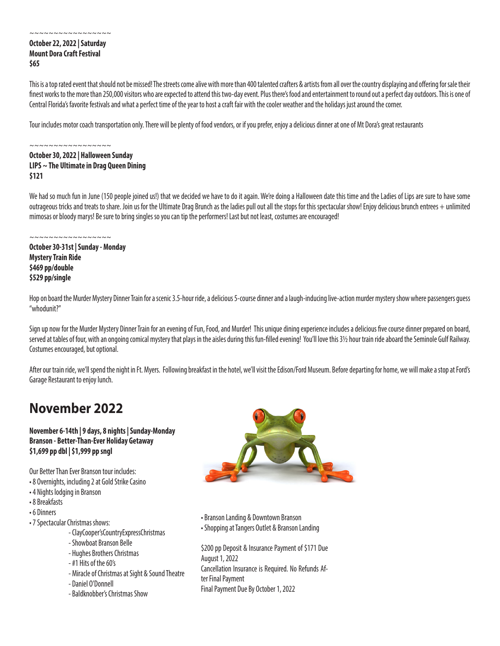#### **October 22, 2022 | Saturday Mount Dora Craft Festival \$65**

~~~~~~~~~~~~~~~~~

This is a top rated event that should not be missed! The streets come alive with more than 400 talented crafters & artists from all over the country displaying and offering for sale their finest works to the more than 250,000 visitors who are expected to attend this two-day event. Plus there's food and entertainment to round out a perfect day outdoors. This is one of Central Florida's favorite festivals and what a perfect time of the year to host a craft fair with the cooler weather and the holidays just around the corner.

Tour includes motor coach transportation only. There will be plenty of food vendors, or if you prefer, enjoy a delicious dinner at one of Mt Dora's great restaurants

~~~~~~~~~~~~~~~~~ **October 30, 2022 | Halloween Sunday LIPS ~ The Ultimate in Drag Queen Dining \$121**

We had so much fun in June (150 people joined us!) that we decided we have to do it again. We're doing a Halloween date this time and the Ladies of Lips are sure to have some outrageous tricks and treats to share. Join us for the Ultimate Drag Brunch as the ladies pull out all the stops for this spectacular show! Enjoy delicious brunch entrees + unlimited mimosas or bloody marys! Be sure to bring singles so you can tip the performers! Last but not least, costumes are encouraged!

~~~~~~~~~~~~~~~

**October 30-31st | Sunday - Monday Mystery Train Ride \$469 pp/double \$529 pp/single**

Hop on board the Murder Mystery Dinner Train for a scenic 3.5-hour ride, a delicious 5-course dinner and a laugh-inducing live-action murder mystery show where passengers guess "whodunit?"

Sign up now for the Murder Mystery Dinner Train for an evening of Fun, Food, and Murder! This unique dining experience includes a delicious five course dinner prepared on board, served at tables of four, with an ongoing comical mystery that plays in the aisles during this fun-filled evening! You'll love this 3½ hour train ride aboard the Seminole Gulf Railway. Costumes encouraged, but optional.

After our train ride, we'll spend the night in Ft. Myers. Following breakfast in the hotel, we'll visit the Edison/Ford Museum. Before departing for home, we will make a stop at Ford's Garage Restaurant to enjoy lunch.

### **November 2022**

#### **November 6-14th | 9 days, 8 nights | Sunday-Monday Branson - Better-Than-Ever Holiday Getaway \$1,699 pp dbl | \$1,999 pp sngl**

Our Better Than Ever Branson tour includes:

- 8 Overnights, including 2 at Gold Strike Casino
- 4 Nights lodging in Branson
- 8 Breakfasts
- 6 Dinners
- 7 Spectacular Christmas shows:
	- ClayCooper'sCountryExpressChristmas
	- Showboat Branson Belle
	- Hughes Brothers Christmas
	- #1 Hits of the 60's
	- Miracle of Christmas at Sight & Sound Theatre
	- Daniel O'Donnell
	- Baldknobber's Christmas Show



- Branson Landing & Downtown Branson
- Shopping at Tangers Outlet & Branson Landing

\$200 pp Deposit & Insurance Payment of \$171 Due August 1, 2022 Cancellation Insurance is Required. No Refunds After Final Payment

Final Payment Due By October 1, 2022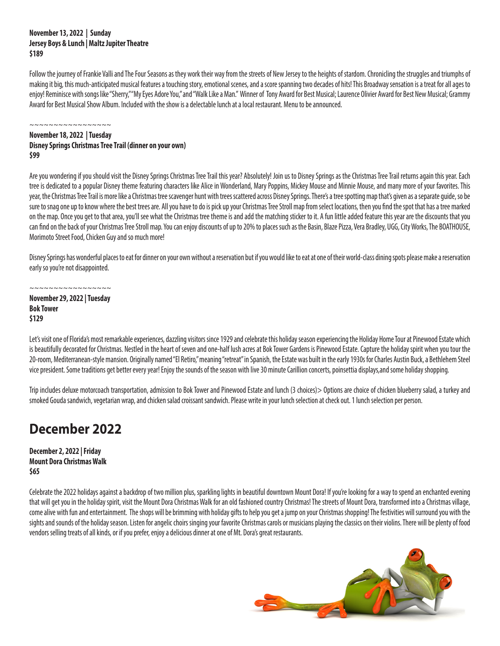#### **November 13, 2022 | Sunday Jersey Boys & Lunch | Maltz Jupiter Theatre \$189**

Follow the journey of Frankie Valli and The Four Seasons as they work their way from the streets of New Jersey to the heights of stardom. Chronicling the struggles and triumphs of making it big, this much-anticipated musical features a touching story, emotional scenes, and a score spanning two decades of hits! This Broadway sensation is a treat for all ages to enjoy! Reminisce with songs like "Sherry," "My Eyes Adore You," and "Walk Like a Man." Winner of Tony Award for Best Musical; Laurence Olivier Award for Best New Musical; Grammy Award for Best Musical Show Album. Included with the show is a delectable lunch at a local restaurant. Menu to be announced.

~~~~~~~~~~~~~~~~~

#### **November 18, 2022 | Tuesday Disney Springs Christmas Tree Trail (dinner on your own) \$99**

Are you wondering if you should visit the Disney Springs Christmas Tree Trail this year? Absolutely! Join us to Disney Springs as the Christmas Tree Trail returns again this year. Each tree is dedicated to a popular Disney theme featuring characters like Alice in Wonderland, Mary Poppins, Mickey Mouse and Minnie Mouse, and many more of your favorites. This year, the Christmas Tree Trail is more like a Christmas tree scavenger hunt with trees scattered across Disney Springs. There's a tree spotting map that's given as a separate guide, so be sure to snag one up to know where the best trees are. All you have to do is pick up your Christmas Tree Stroll map from select locations, then you find the spot that has a tree marked on the map. Once you get to that area, you'll see what the Christmas tree theme is and add the matching sticker to it. A fun little added feature this year are the discounts that you can find on the back of your Christmas Tree Stroll map. You can enjoy discounts of up to 20% to places such as the Basin, Blaze Pizza, Vera Bradley, UGG, City Works, The BOATHOUSE, Morimoto Street Food, Chicken Guy and so much more!

Disney Springs has wonderful places to eat for dinner on your own without a reservation but if you would like to eat at one of their world-class dining spots please make a reservation early so you're not disappointed.

~~~~~~~~~~~~~~ **November 29, 2022 | Tuesday Bok Tower \$129**

Let's visit one of Florida's most remarkable experiences, dazzling visitors since 1929 and celebrate this holiday season experiencing the Holiday Home Tour at Pinewood Estate which is beautifully decorated for Christmas. Nestled in the heart of seven and one-half lush acres at Bok Tower Gardens is Pinewood Estate. Capture the holiday spirit when you tour the 20-room, Mediterranean-style mansion. Originally named "El Retiro," meaning "retreat" in Spanish, the Estate was built in the early 1930s for Charles Austin Buck, a Bethlehem Steel vice president. Some traditions get better every year! Enjoy the sounds of the season with live 30 minute Carillion concerts, poinsettia displays,and some holiday shopping.

Trip includes deluxe motorcoach transportation, admission to Bok Tower and Pinewood Estate and lunch (3 choices) > Options are choice of chicken blueberry salad, a turkey and smoked Gouda sandwich, vegetarian wrap, and chicken salad croissant sandwich. Please write in your lunch selection at check out. 1 lunch selection per person.

### **December 2022**

**December 2, 2022 | Friday Mount Dora Christmas Walk \$65**

Celebrate the 2022 holidays against a backdrop of two million plus, sparkling lights in beautiful downtown Mount Dora! If you're looking for a way to spend an enchanted evening that will get you in the holiday spirit, visit the Mount Dora Christmas Walk for an old fashioned country Christmas! The streets of Mount Dora, transformed into a Christmas village, come alive with fun and entertainment. The shops will be brimming with holiday gifts to help you get a jump on your Christmas shopping! The festivities will surround you with the sights and sounds of the holiday season. Listen for angelic choirs singing your favorite Christmas carols or musicians playing the classics on their violins. There will be plenty of food vendors selling treats of all kinds, or if you prefer, enjoy a delicious dinner at one of Mt. Dora's great restaurants.

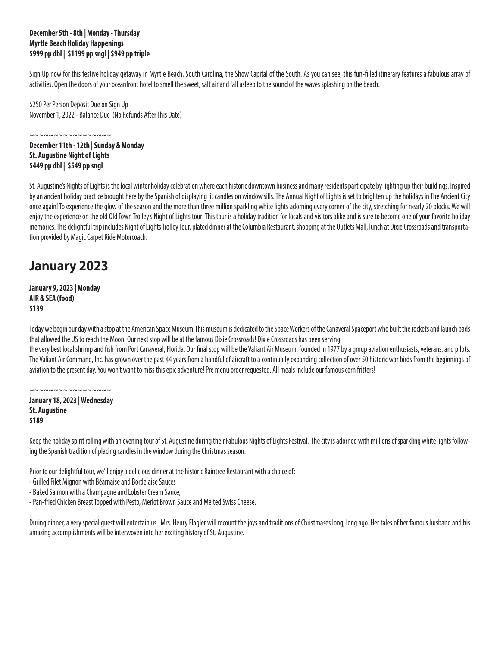#### **December 5th - 8th | Monday - Thursday Myrtle Beach Holiday Happenings \$999 pp dbl | \$1199 pp sngl | \$949 pp triple**

Sign Up now for this festive holiday getaway in Myrtle Beach, South Carolina, the Show Capital of the South. As you can see, this fun-filled itinerary features a fabulous array of activities. Open the doors of your oceanfront hotel to smell the sweet, salt air and fall asleep to the sound of the waves splashing on the beach.

\$250 Per Person Deposit Due on Sign Up November 1, 2022 - Balance Due (No Refunds After This Date)

~~~~~~~~~~~~~~ **December 11th - 12th | Sunday & Monday St. Augustine Night of Lights \$449 pp dbl | \$549 pp sngl**

St. Augustine's Nights of Lights is the local winter holiday celebration where each historic downtown business and many residents participate by lighting up their buildings. Inspired by an ancient holiday practice brought here by the Spanish of displaying lit candles on window sills. The Annual Night of Lights is set to brighten up the holidays in The Ancient City once again! To experience the glow of the season and the more than three million sparkling white lights adorning every corner of the city, stretching for nearly 20 blocks. We will enjoy the experience on the old Old Town Trolley's Night of Lights tour! This tour is a holiday tradition for locals and visitors alike and is sure to become one of your favorite holiday memories. This delightful trip includes Night of Lights Trolley Tour, plated dinner at the Columbia Restaurant, shopping at the Outlets Mall, lunch at Dixie Crossroads and transportation provided by Magic Carpet Ride Motorcoach.

### **January 2023**

**January 9, 2023 | Monday AIR & SEA (food) \$139**

Today we begin our day with a stop at the American Space Museum!This museum is dedicated to the Space Workers of the Canaveral Spaceport who built the rockets and launch pads that allowed the US to reach the Moon! Our next stop will be at the famous Dixie Crossroads! Dixie Crossroads has been serving

the very best local shrimp and fish from Port Canaveral, Florida. Our final stop will be the Valiant Air Museum, founded in 1977 by a group aviation enthusiasts, veterans, and pilots. The Valiant Air Command, Inc. has grown over the past 44 years from a handful of aircraft to a continually expanding collection of over 50 historic war birds from the beginnings of aviation to the present day. You won't want to miss this epic adventure! Pre menu order requested. All meals include our famous corn fritters!

~~~~~~~~~~~~~~~ **January 18, 2023 | Wednesday St. Augustine \$189**

Keep the holiday spirit rolling with an evening tour of St. Augustine during their Fabulous Nights of Lights Festival. The city is adorned with millions of sparkling white lights following the Spanish tradition of placing candles in the window during the Christmas season.

Prior to our delightful tour, we'll enjoy a delicious dinner at the historic Raintree Restaurant with a choice of:

- Grilled Filet Mignon with Béarnaise and Bordelaise Sauces

- Baked Salmon with a Champagne and Lobster Cream Sauce,

- Pan-fried Chicken Breast Topped with Pesto, Merlot Brown Sauce and Melted Swiss Cheese.

During dinner, a very special guest will entertain us. Mrs. Henry Flagler will recount the joys and traditions of Christmases long, long ago. Her tales of her famous husband and his amazing accomplishments will be interwoven into her exciting history of St. Augustine.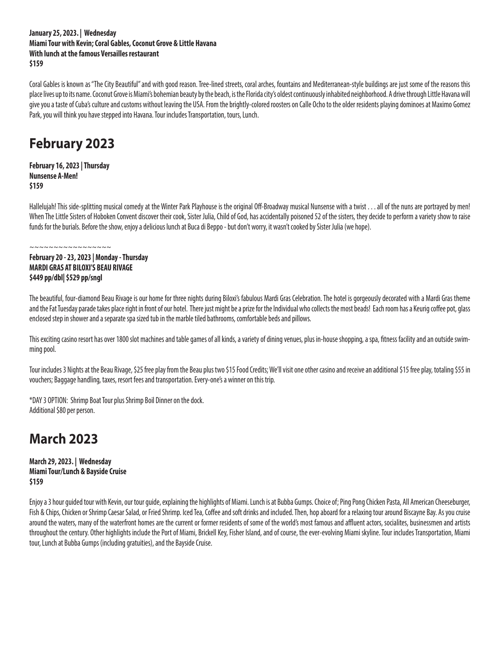#### **January 25, 2023. | Wednesday Miami Tour with Kevin; Coral Gables, Coconut Grove & Little Havana With lunch at the famous Versailles restaurant \$159**

Coral Gables is known as "The City Beautiful" and with good reason. Tree-lined streets, coral arches, fountains and Mediterranean-style buildings are just some of the reasons this place lives up to its name. Coconut Grove is Miami's bohemian beauty by the beach, is the Florida city's oldest continuously inhabited neighborhood. A drive through Little Havana will give you a taste of Cuba's culture and customs without leaving the USA. From the brightly-colored roosters on Calle Ocho to the older residents playing dominoes at Maximo Gomez Park, you will think you have stepped into Havana. Tour includes Transportation, tours, Lunch.

### **February 2023**

**February 16, 2023 | Thursday Nunsense A-Men! \$159**

Hallelujah! This side-splitting musical comedy at the Winter Park Playhouse is the original Off-Broadway musical Nunsense with a twist . . . all of the nuns are portrayed by men! When The Little Sisters of Hoboken Convent discover their cook, Sister Julia, Child of God, has accidentally poisoned 52 of the sisters, they decide to perform a variety show to raise funds for the burials. Before the show, enjoy a delicious lunch at Buca di Beppo - but don't worry, it wasn't cooked by Sister Julia (we hope).

~~~~~~~~~~~~~~~~~

#### **February 20 - 23, 2023 | Monday - Thursday MARDI GRAS AT BILOXI'S BEAU RIVAGE \$449 pp/dbl| \$529 pp/sngl**

The beautiful, four-diamond Beau Rivage is our home for three nights during Biloxi's fabulous Mardi Gras Celebration. The hotel is gorgeously decorated with a Mardi Gras theme and the Fat Tuesday parade takes place right in front of our hotel. There just might be a prize for the Individual who collects the most beads! Each room has a Keurig coffee pot, glass enclosed step in shower and a separate spa sized tub in the marble tiled bathrooms, comfortable beds and pillows.

This exciting casino resort has over 1800 slot machines and table games of all kinds, a variety of dining venues, plus in-house shopping, a spa, fitness facility and an outside swimming pool.

Tour includes 3 Nights at the Beau Rivage, \$25 free play from the Beau plus two \$15 Food Credits; We'll visit one other casino and receive an additional \$15 free play, totaling \$55 in vouchers; Baggage handling, taxes, resort fees and transportation. Every-one's a winner on this trip.

\*DAY 3 OPTION: Shrimp Boat Tour plus Shrimp Boil Dinner on the dock. Additional \$80 per person.

### **March 2023**

**March 29, 2023. | Wednesday Miami Tour/Lunch & Bayside Cruise \$159**

Enjoy a 3 hour guided tour with Kevin, our tour guide, explaining the highlights of Miami. Lunch is at Bubba Gumps. Choice of; Ping Pong Chicken Pasta, All American Cheeseburger, Fish & Chips, Chicken or Shrimp Caesar Salad, or Fried Shrimp. Iced Tea, Coffee and soft drinks and included. Then, hop aboard for a relaxing tour around Biscayne Bay. As you cruise around the waters, many of the waterfront homes are the current or former residents of some of the world's most famous and affluent actors, socialites, businessmen and artists throughout the century. Other highlights include the Port of Miami, Brickell Key, Fisher Island, and of course, the ever-evolving Miami skyline. Tour includes Transportation, Miami tour, Lunch at Bubba Gumps (including gratuities), and the Bayside Cruise.